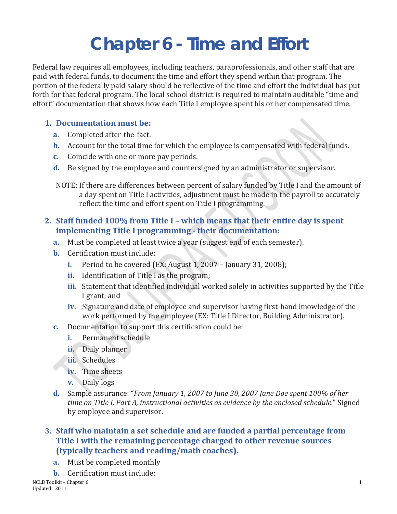# **Chapter 6 - Time and Effort**

Federal law requires all employees, including teachers, paraprofessionals, and other staff that are paid with federal funds, to document the time and effort they spend within that program. The portion of the federally paid salary should be reflective of the time and effort the individual has put forth for that federal program. The local school district is required to maintain auditable "time and effort" documentation that shows how each Title I employee spent his or her compensated time.

#### **1. Documentation must be:**

- **a.** Completed after-the-fact.
- **b.** Account for the total time for which the employee is compensated with federal funds.
- **c.** Coincide with one or more pay periods.
- **d.** Be signed by the employee and countersigned by an administrator or supervisor.

NOTE: If there are differences between percent of salary funded by Title I and the amount of a day spent on Title I activities, adjustment must be made in the payroll to accurately reflect the time and effort spent on Title I programming.

#### **2. Staff funded 100% from Title I – which means that their entire day is spent implementing Title I programming - their documentation:**

- **a.** Must be completed at least twice a year (suggest end of each semester).
- **b.** Certification must include:
	- **i.** Period to be covered (EX: August 1, 2007 January 31, 2008);
	- **ii.** Identification of Title I as the program;
	- **iii.** Statement that identified individual worked solely in activities supported by the Title I grant; and
	- **iv.** Signature and date of employee and supervisor having first-hand knowledge of the work performed by the employee (EX: Title I Director, Building Administrator).
- **c.** Documentation to support this certification could be:
	- **i.** Permanent schedule
	- **ii.** Daily planner
	- **iii.** Schedules
	- **iv.** Time sheets
	- **v.** Daily logs
- **d.** Sample assurance: "*From January 1, 2007 to June 30, 2007 Jane Doe spent 100% of her time on Title I, Part A, instructional activities as evidence by the enclosed schedule.*" Signed by employee and supervisor.

#### **3. Staff who maintain a set schedule and are funded a partial percentage from Title I with the remaining percentage charged to other revenue sources (typically teachers and reading/math coaches).**

- **a.** Must be completed monthly
- **b.** Certification must include:<br>NCLB Toolkit Chapter 6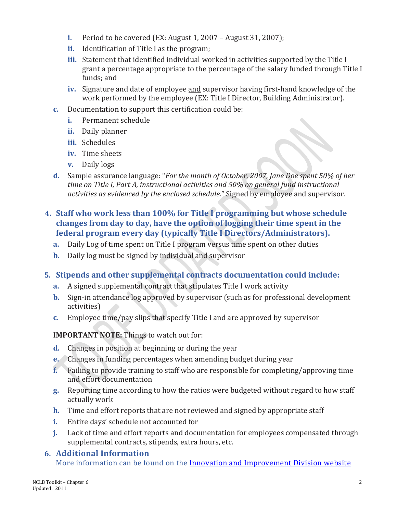- **i.** Period to be covered (EX: August 1, 2007 August 31, 2007);
- **ii.** Identification of Title I as the program;
- **iii.** Statement that identified individual worked in activities supported by the Title I grant a percentage appropriate to the percentage of the salary funded through Title I funds; and
- **iv.** Signature and date of employee and supervisor having first-hand knowledge of the work performed by the employee (EX: Title I Director, Building Administrator).
- **c.** Documentation to support this certification could be:
	- **i.** Permanent schedule
	- **ii.** Daily planner
	- **iii.** Schedules
	- **iv.** Time sheets
	- **v.** Daily logs
- **d.** Sample assurance language: "*For the month of October, 2007, Jane Doe spent 50% of her time on Title I, Part A, instructional activities and 50% on general fund instructional activities as evidenced by the enclosed schedule.*" Signed by employee and supervisor.
- **4. Staff who work less than 100% for Title I programming but whose schedule changes from day to day, have the option of logging their time spent in the federal program every day (typically Title I Directors/Administrators).**
	- **a.** Daily Log of time spent on Title I program versus time spent on other duties
	- **b.** Daily log must be signed by individual and supervisor

### **5. Stipends and other supplemental contracts documentation could include:**

- **a.** A signed supplemental contract that stipulates Title I work activity
- **b.** Sign-in attendance log approved by supervisor (such as for professional development activities)
- **c.** Employee time/pay slips that specify Title I and are approved by supervisor

**IMPORTANT NOTE:** Things to watch out for:

- **d.** Changes in position at beginning or during the year
- **e.** Changes in funding percentages when amending budget during year
- **f.** Failing to provide training to staff who are responsible for completing/approving time and effort documentation
- **g.** Reporting time according to how the ratios were budgeted without regard to how staff actually work
- **h.** Time and effort reports that are not reviewed and signed by appropriate staff
- **i.** Entire days' schedule not accounted for
- **j.** Lack of time and effort reports and documentation for employees compensated through supplemental contracts, stipends, extra hours, etc.

## **6. Additional Information**

More information can be found on the [Innovation and Improvement Division website](http://www.isbe.net/grants/default.htm)